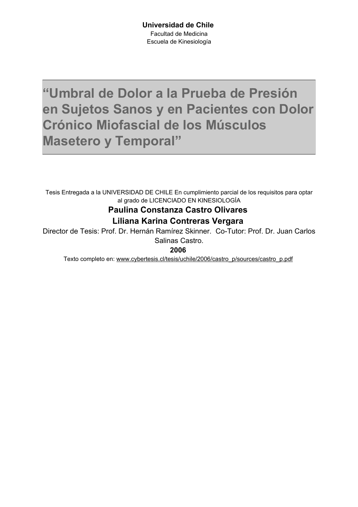## <span id="page-0-0"></span>"Umbral de Dolor a la Prueba de Presión en Sujetos Sanos y en Pacientes con Dolor Crónico Miofascial de los Músculos **Masetero y Temporal"**

Tesis Entregada a la UNIVERSIDAD DE CHILE En cumplimiento parcial de los requisitos para optar al grado de LICENCIADO EN KINESIOLOGÍA

#### **Paulina Constanza Castro Olivares** Liliana Karina Contreras Vergara

Director de Tesis: Prof. Dr. Hernán Ramírez Skinner. Co-Tutor: Prof. Dr. Juan Carlos

Salinas Castro.

2006

Texto completo en: www.cybertesis.cl/tesis/uchile/2006/castro p/sources/castro p.pdf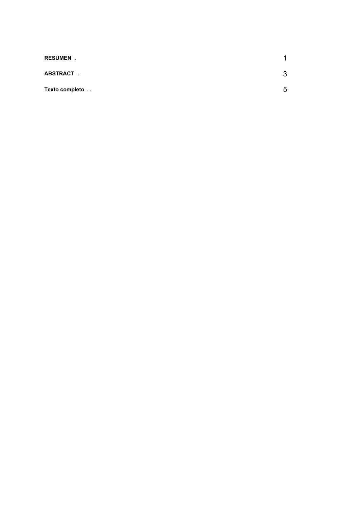| <b>RESUMEN.</b> |   |
|-----------------|---|
| ABSTRACT.       | 2 |
| Texto completo  | г |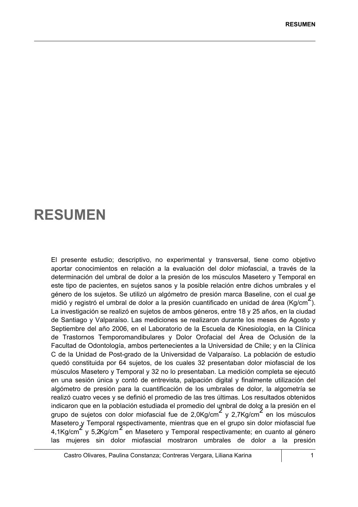### **RESUMEN**

El presente estudio; descriptivo, no experimental y transversal, tiene como objetivo aportar conocimientos en relación a la evaluación del dolor miofascial, a través de la determinación del umbral de dolor a la presión de los músculos Masetero y Temporal en este tipo de pacientes, en sujetos sanos y la posible relación entre dichos umbrales y el género de los sujetos. Se utilizó un algómetro de presión marca Baseline, con el cual se midió y registró el umbral de dolor a la presión cuantificado en unidad de área (Kg/cm<sup>2</sup>). La investigación se realizó en sujetos de ambos géneros, entre 18 y 25 años, en la ciudad de Santiago y Valparaíso. Las mediciones se realizaron durante los meses de Agosto y Septiembre del año 2006, en el Laboratorio de la Escuela de Kinesiología, en la Clínica de Trastornos Temporomandibulares y Dolor Orofacial del Área de Oclusión de la Facultad de Odontología, ambos pertenecientes a la Universidad de Chile; y en la Clínica C de la Unidad de Post-grado de la Universidad de Valparaíso. La población de estudio quedó constituida por 64 sujetos, de los cuales 32 presentaban dolor miofascial de los músculos Masetero y Temporal y 32 no lo presentaban. La medición completa se ejecutó en una sesión única y contó de entrevista, palpación digital y finalmente utilización del algómetro de presión para la cuantificación de los umbrales de dolor, la algometría se realizó cuatro veces y se definió el promedio de las tres últimas. Los resultados obtenidos indicaron que en la población estudiada el promedio del umbral de dolor a la presión en el grupo de sujetos con dolor miofascial fue de 2,0Kg/cm<sup>2</sup> y 2,7Kg/cm<sup>2</sup> en los músculos Masetero y Temporal respectivamente, mientras que en el grupo sin dolor miofascial fue 4,1Kg/cm<sup>2</sup> y 5,2Kg/cm<sup>2</sup> en Masetero y Temporal respectivamente; en cuanto al género las muieres sin dolor miofascial mostraron umbrales de dolor a la presión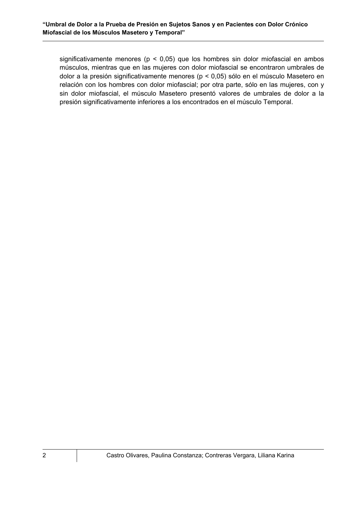significativamente menores ( $p < 0.05$ ) que los hombres sin dolor miofascial en ambos músculos, mientras que en las mujeres con dolor miofascial se encontraron umbrales de dolor a la presión significativamente menores (p < 0,05) sólo en el músculo Masetero en relación con los hombres con dolor miofascial; por otra parte, sólo en las mujeres, con y sin dolor miofascial, el músculo Masetero presentó valores de umbrales de dolor a la presión significativamente inferiores a los encontrados en el músculo Temporal.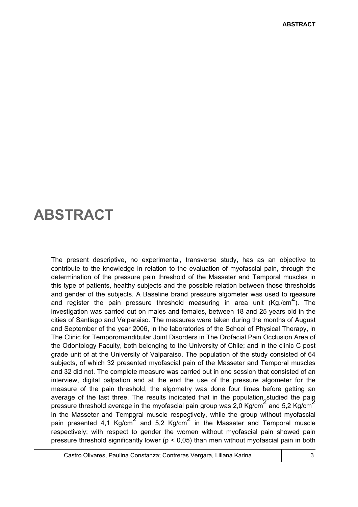## **ABSTRACT**

The present descriptive, no experimental, transverse study, has as an objective to contribute to the knowledge in relation to the evaluation of myofascial pain, through the determination of the pressure pain threshold of the Masseter and Temporal muscles in this type of patients, healthy subjects and the possible relation between those thresholds and gender of the subjects. A Baseline brand pressure algometer was used to measure and register the pain pressure threshold measuring in area unit (Kg./cm<sup>2</sup>). The investigation was carried out on males and females, between 18 and 25 years old in the cities of Santiago and Valparaiso. The measures were taken during the months of August and September of the year 2006, in the laboratories of the School of Physical Therapy, in The Clinic for Temporomandibular Joint Disorders in The Orofacial Pain Occlusion Area of the Odontology Faculty, both belonging to the University of Chile; and in the clinic C post grade unit of at the University of Valparaiso. The population of the study consisted of 64 subjects, of which 32 presented myofascial pain of the Masseter and Temporal muscles and 32 did not. The complete measure was carried out in one session that consisted of an interview, digital palpation and at the end the use of the pressure algometer for the measure of the pain threshold, the algometry was done four times before getting an average of the last three. The results indicated that in the population studied the pain pressure threshold average in the myofascial pain group was 2.0 Kg/cm<sup> $\leq$ </sup> and 5.2 Kg/cm<sup> $\leq$ </sup> in the Masseter and Temporal muscle respectively, while the group without myofascial pain presented 4.1 Kg/cm<sup>2</sup> and 5.2 Kg/cm<sup>2</sup> in the Masseter and Temporal muscle respectively: with respect to gender the women without myofascial pain showed pain pressure threshold significantly lower ( $p < 0.05$ ) than men without myofascial pain in both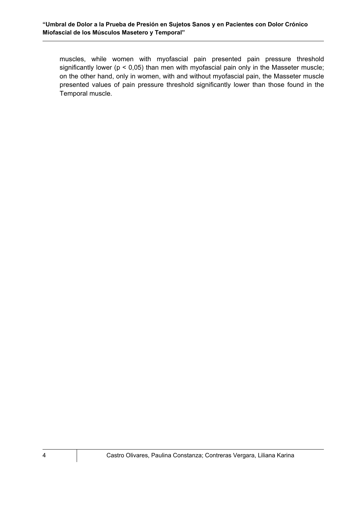muscles, while women with myofascial pain presented pain pressure threshold significantly lower ( $p < 0.05$ ) than men with myofascial pain only in the Masseter muscle; on the other hand, only in women, with and without myofascial pain, the Masseter muscle presented values of pain pressure threshold significantly lower than those found in the Temporal muscle.